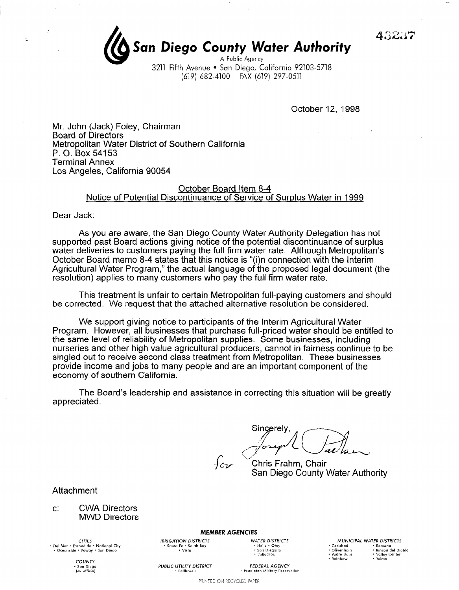43237

## San Diego County Water Authority A Public Agency

3211 Fifth Avenue . San Diego, California 92103-5718 (619) 682-4100 FAX (619) 297-0511

October 12, 1998

Mr. John (Jack) Foley, Chairman **Board of Directors** Metropolitan Water District of Southern California P. O. Box 54153 **Terminal Annex** Los Angeles, California 90054

## October Board Item 8-4 Notice of Potential Discontinuance of Service of Surplus Water in 1999

Dear Jack:

As you are aware, the San Diego County Water Authority Delegation has not supported past Board actions giving notice of the potential discontinuance of surplus water deliveries to customers paying the full firm water rate. Although Metropolitan's October Board memo 8-4 states that this notice is "(i)n connection with the Interim Agricultural Water Program," the actual language of the proposed legal document (the resolution) applies to many customers who pay the full firm water rate.

This treatment is unfair to certain Metropolitan full-paying customers and should be corrected. We request that the attached alternative resolution be considered.

We support giving notice to participants of the Interim Agricultural Water Program. However, all businesses that purchase full-priced water should be entitled to the same level of reliability of Metropolitan supplies. Some businesses, including nurseries and other high value agricultural producers, cannot in fairness continue to be singled out to receive second class treatment from Metropolitan. These businesses provide income and jobs to many people and are an important component of the economy of southern California.

The Board's leadership and assistance in correcting this situation will be greatly appreciated.

Sincerely,

Chris Frahm, Chair San Diego County Water Authority

Attachment

 $\mathbf{C}$ **CWA Directors MWD Directors** 

CITIES<br>Del Mar • Escondido • National City • Oceanside . Poway . San Diego

> COUNTY , San Diego<br>(ex officio)

**MEMBER AGENCIES** 

PRINTED ON RECYCLED PAPER

**IRRIGATION DISTRICTS** • Santa Fe • South Bay<br>• Vista

**PUBLIC UTILITY DISTRICT** 

• Fallbrook

**WATER DISTRICTS** - Helix + Otay<br>- San Dieguito<br>- Vallecitos

FEDERAL AGENCY

· Pendleton Military Reservation

MUNICIPAL WATER DISTRICTS • Carlsbad<br>• Olivenhain • Ramona<br>• Rincon del Diablo - Padre Dam<br>- Rainbow Valley Center

· Yuima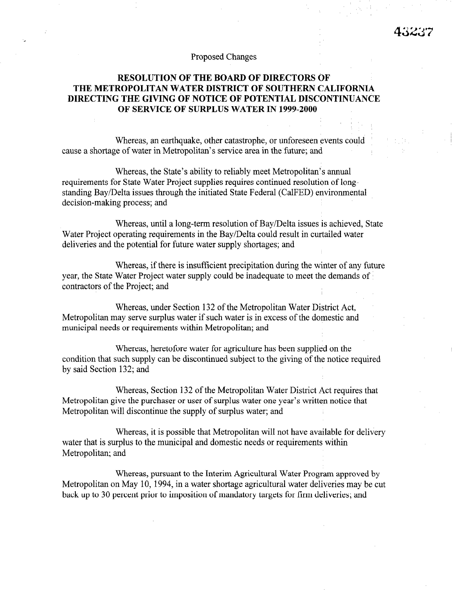## Proposed Changes

## RESOLUTION OF THE BOARD OF DIRECTORS OF THE METROPOLITAN WATER DISTRICT OF SOUTHERN CALIFORNIA DIRECTING THE GIVING OF NOTICE OF POTENTIAL DISCONTINUANCE OF SERVICE OF SURPLUS WATER IN 1999-2000

Whereas, an earthquake, other catastrophe, or unforeseen events could cause a shortage of water in Metropolitan's service area in the future; and

Whereas, the State's ability to reliably meet Metropolitan's annual requirements for State Water Project supplies requires continued resolution of longstanding Bay/Delta issues through the initiated State Federal (CalFED) environmental decision-making process; and

Whereas, until a long-term resolution of Bay/Delta issues is achieved, State Water Project operating requirements in the Bay/Delta could result in curtailed water deliveries and the potential for future water supply shortages; and

Whereas, if there is insufficient precipitation during the winter of any future year, the State Water Project water supply could be inadequate to meet the demands of contractors of the Project; and

Whereas, under Section 132 of the Metropolitan Water District Act, whereas, under section  $132$  of the metropolitan water  $P$  is included  $R$ . metropolitan may serve surprus water if such water is in ex-

Whereas, heretofore water for agriculture has been supplied on the whereas, heretotore water to agriculture has been supplied on the notice required of the notice required of the no condition that such supply can be discontinued subject to the giving of the notice required<br>by said Section 132; and

 $\mathbb{R}^2$  of the Metropolitan  $\mathbb{R}^2$  of the Metropolitan Water District Act requires that  $\mathbb{R}^2$ whereas, section  $132$  or the metropolitan water District Act requires that Metropolitan give the purchaser or user of surplus water one year's written notice that<br>Metropolitan will discontinue the supply of surplus water; and

Whereas, it is possible that Metropolitan will not have available for delivery water that is surplus to the municipal and domestic needs or requirements within Metropolitan; and

Whereas, pursuant to the Interim Agricultural Water Program approved by Metropolitan on May 10, 1994, in a water shortage agricultural water deliveries may be cut back up to 30 percent prior to imposition of mandatory targets for firm deliveries; and

Whereas, pursuant to the Interim Agricultural Water Program approved by  $\mathcal{P}_\text{max}$